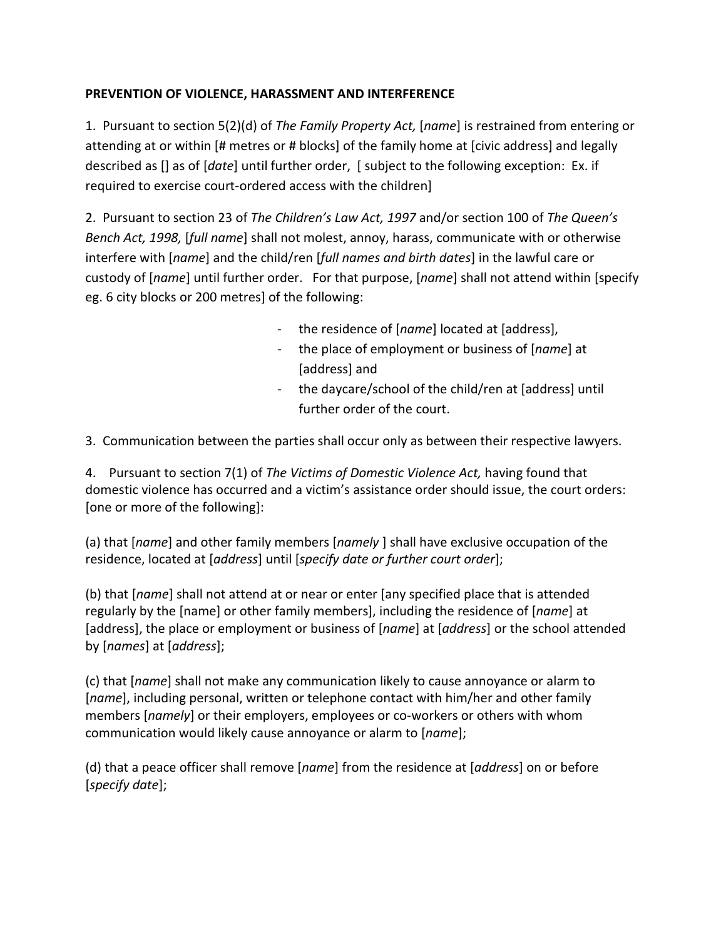## **PREVENTION OF VIOLENCE, HARASSMENT AND INTERFERENCE**

1. Pursuant to section 5(2)(d) of *The Family Property Act,* [*name*] is restrained from entering or attending at or within [# metres or # blocks] of the family home at [civic address] and legally described as [] as of [*date*] until further order, [ subject to the following exception: Ex. if required to exercise court-ordered access with the children]

2. Pursuant to section 23 of *The Children's Law Act, 1997* and/or section 100 of *The Queen's Bench Act, 1998,* [*full name*] shall not molest, annoy, harass, communicate with or otherwise interfere with [*name*] and the child/ren [*full names and birth dates*] in the lawful care or custody of [*name*] until further order. For that purpose, [*name*] shall not attend within [specify eg. 6 city blocks or 200 metres] of the following:

- the residence of [*name*] located at [address],
- the place of employment or business of [*name*] at [address] and
- the daycare/school of the child/ren at [address] until further order of the court.
- 3. Communication between the parties shall occur only as between their respective lawyers.

4. Pursuant to section 7(1) of *The Victims of Domestic Violence Act,* having found that domestic violence has occurred and a victim's assistance order should issue, the court orders: [one or more of the following]:

(a) that [*name*] and other family members [*namely* ] shall have exclusive occupation of the residence, located at [*address*] until [*specify date or further court order*];

(b) that [*name*] shall not attend at or near or enter [any specified place that is attended regularly by the [name] or other family members], including the residence of [*name*] at [address], the place or employment or business of [*name*] at [*address*] or the school attended by [*names*] at [*address*];

(c) that [*name*] shall not make any communication likely to cause annoyance or alarm to [*name*], including personal, written or telephone contact with him/her and other family members [*namely*] or their employers, employees or co-workers or others with whom communication would likely cause annoyance or alarm to [*name*];

(d) that a peace officer shall remove [*name*] from the residence at [*address*] on or before [*specify date*];